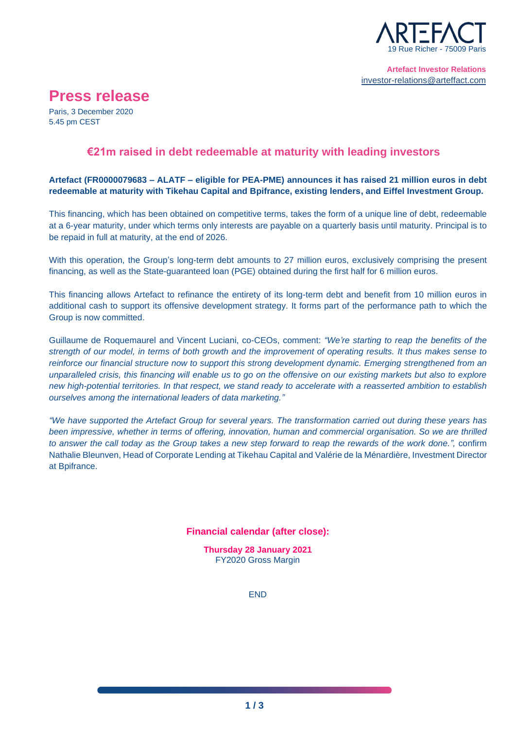

# **Press release**

Paris, 3 December 2020 5.45 pm CEST

# **€21m raised in debt redeemable at maturity with leading investors**

# **Artefact (FR0000079683 – ALATF – eligible for PEA-PME) announces it has raised 21 million euros in debt redeemable at maturity with Tikehau Capital and Bpifrance, existing lenders, and Eiffel Investment Group.**

This financing, which has been obtained on competitive terms, takes the form of a unique line of debt, redeemable at a 6-year maturity, under which terms only interests are payable on a quarterly basis until maturity. Principal is to be repaid in full at maturity, at the end of 2026.

With this operation, the Group's long-term debt amounts to 27 million euros, exclusively comprising the present financing, as well as the State-guaranteed loan (PGE) obtained during the first half for 6 million euros.

This financing allows Artefact to refinance the entirety of its long-term debt and benefit from 10 million euros in additional cash to support its offensive development strategy. It forms part of the performance path to which the Group is now committed.

Guillaume de Roquemaurel and Vincent Luciani, co-CEOs, comment: *"We're starting to reap the benefits of the strength of our model, in terms of both growth and the improvement of operating results. It thus makes sense to reinforce our financial structure now to support this strong development dynamic. Emerging strengthened from an unparalleled crisis, this financing will enable us to go on the offensive on our existing markets but also to explore new high-potential territories. In that respect, we stand ready to accelerate with a reasserted ambition to establish ourselves among the international leaders of data marketing."*

*"We have supported the Artefact Group for several years. The transformation carried out during these years has been impressive, whether in terms of offering, innovation, human and commercial organisation. So we are thrilled to answer the call today as the Group takes a new step forward to reap the rewards of the work done.",* confirm Nathalie Bleunven, Head of Corporate Lending at Tikehau Capital and Valérie de la Ménardière, Investment Director at Bpifrance.

**Financial calendar (after close):**

**Thursday 28 January 2021** FY2020 Gross Margin

END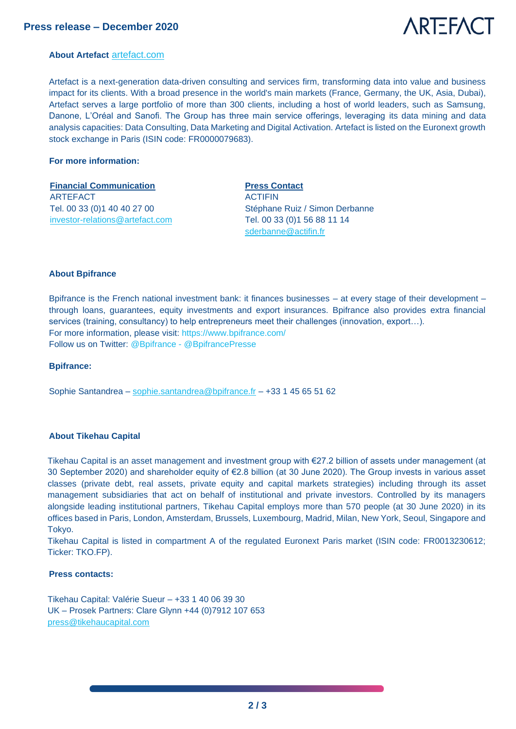

#### **About Artefact** [artefact.com](https://artefact.com/)

Artefact is a next-generation data-driven consulting and services firm, transforming data into value and business impact for its clients. With a broad presence in the world's main markets (France, Germany, the UK, Asia, Dubai), Artefact serves a large portfolio of more than 300 clients, including a host of world leaders, such as Samsung, Danone, L'Oréal and Sanofi. The Group has three main service offerings, leveraging its data mining and data analysis capacities: Data Consulting, Data Marketing and Digital Activation. Artefact is listed on the Euronext growth stock exchange in Paris (ISIN code: FR0000079683).

#### **For more information:**

# **Financial Communication Press Contact** ARTEFACT Tel. 00 33 (0)1 40 40 27 00 [investor-relations@artefact.com](mailto:investor-relations@artefact.com)

ACTIFIN Stéphane Ruiz / Simon Derbanne Tel. 00 33 (0)1 56 88 11 14 [sderbanne@actifin.fr](mailto:sderbanne@actifin.fr)

#### **About Bpifrance**

Bpifrance is the French national investment bank: it finances businesses – at every stage of their development – through loans, guarantees, equity investments and export insurances. Bpifrance also provides extra financial services (training, consultancy) to help entrepreneurs meet their challenges (innovation, export...). For more information, please visit:<https://www.bpifrance.com/> Follow us on Twitter: [@Bpifrance](https://twitter.com/Bpifrance?ref_src=twsrc%5Egoogle%7Ctwcamp%5Eserp%7Ctwgr%5Eauthor) - [@BpifrancePresse](https://twitter.com/BpifrancePresse?ref_src=twsrc%5Egoogle%7Ctwcamp%5Eserp%7Ctwgr%5Eauthor)

#### **Bpifrance:**

Sophie Santandrea – sophie.santandrea@bpifrance.fr – +33 1 45 65 51 62

#### **About Tikehau Capital**

Tikehau Capital is an asset management and investment group with €27.2 billion of assets under management (at 30 September 2020) and shareholder equity of €2.8 billion (at 30 June 2020). The Group invests in various asset classes (private debt, real assets, private equity and capital markets strategies) including through its asset management subsidiaries that act on behalf of institutional and private investors. Controlled by its managers alongside leading institutional partners, Tikehau Capital employs more than 570 people (at 30 June 2020) in its offices based in Paris, London, Amsterdam, Brussels, Luxembourg, Madrid, Milan, New York, Seoul, Singapore and Tokyo.

Tikehau Capital is listed in compartment A of the regulated Euronext Paris market (ISIN code: FR0013230612; Ticker: TKO.FP).

#### **Press contacts:**

Tikehau Capital: Valérie Sueur – +33 1 40 06 39 30 UK – Prosek Partners: Clare Glynn +44 (0)7912 107 653 [press@tikehaucapital.com](mailto:press@tikehaucapital.com)